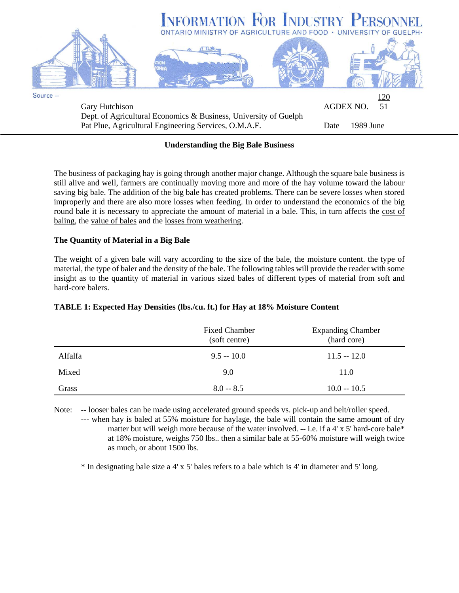

# **Understanding the Big Bale Business**

The business of packaging hay is going through another major change. Although the square bale business is still alive and well, farmers are continually moving more and more of the hay volume toward the labour saving big bale. The addition of the big bale has created problems. There can be severe losses when stored improperly and there are also more losses when feeding. In order to understand the economics of the big round bale it is necessary to appreciate the amount of material in a bale. This, in turn affects the cost of baling, the value of bales and the losses from weathering.

## **The Quantity of Material in a Big Bale**

The weight of a given bale will vary according to the size of the bale, the moisture content. the type of material, the type of baler and the density of the bale. The following tables will provide the reader with some insight as to the quantity of material in various sized bales of different types of material from soft and hard-core balers.

|         | <b>Fixed Chamber</b><br>(soft centre) | <b>Expanding Chamber</b><br>(hard core) |
|---------|---------------------------------------|-----------------------------------------|
| Alfalfa | $9.5 - 10.0$                          | $11.5 - 12.0$                           |
| Mixed   | 9.0                                   | 11.0                                    |
| Grass   | $8.0 - 8.5$                           | $10.0 - 10.5$                           |

#### **TABLE 1: Expected Hay Densities (lbs./cu. ft.) for Hay at 18% Moisture Content**

Note: -- looser bales can be made using accelerated ground speeds vs. pick-up and belt/roller speed.

--- when hay is baled at 55% moisture for haylage, the bale will contain the same amount of dry matter but will weigh more because of the water involved. -- i.e. if a 4' x 5' hard-core bale\* at 18% moisture, weighs 750 lbs.. then a similar bale at 55-60% moisture will weigh twice as much, or about 1500 lbs.

\* In designating bale size a 4' x 5' bales refers to a bale which is 4' in diameter and 5' long.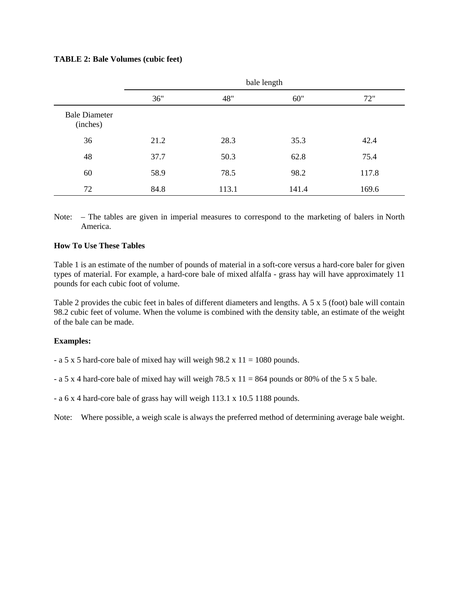## **TABLE 2: Bale Volumes (cubic feet)**

|                                  | bale length |       |       |       |
|----------------------------------|-------------|-------|-------|-------|
|                                  | 36"         | 48"   | 60"   | 72"   |
| <b>Bale Diameter</b><br>(inches) |             |       |       |       |
| 36                               | 21.2        | 28.3  | 35.3  | 42.4  |
| 48                               | 37.7        | 50.3  | 62.8  | 75.4  |
| 60                               | 58.9        | 78.5  | 98.2  | 117.8 |
| 72                               | 84.8        | 113.1 | 141.4 | 169.6 |

Note: – The tables are given in imperial measures to correspond to the marketing of balers in North America.

# **How To Use These Tables**

Table 1 is an estimate of the number of pounds of material in a soft-core versus a hard-core baler for given types of material. For example, a hard-core bale of mixed alfalfa - grass hay will have approximately 11 pounds for each cubic foot of volume.

Table 2 provides the cubic feet in bales of different diameters and lengths. A 5 x 5 (foot) bale will contain 98.2 cubic feet of volume. When the volume is combined with the density table, an estimate of the weight of the bale can be made.

#### **Examples:**

- a 5 x 5 hard-core bale of mixed hay will weigh 98.2 x  $11 = 1080$  pounds.

- a 5 x 4 hard-core bale of mixed hay will weigh 78.5 x  $11 = 864$  pounds or 80% of the 5 x 5 bale.

- a 6 x 4 hard-core bale of grass hay will weigh 113.1 x 10.5 1188 pounds.

Note: Where possible, a weigh scale is always the preferred method of determining average bale weight.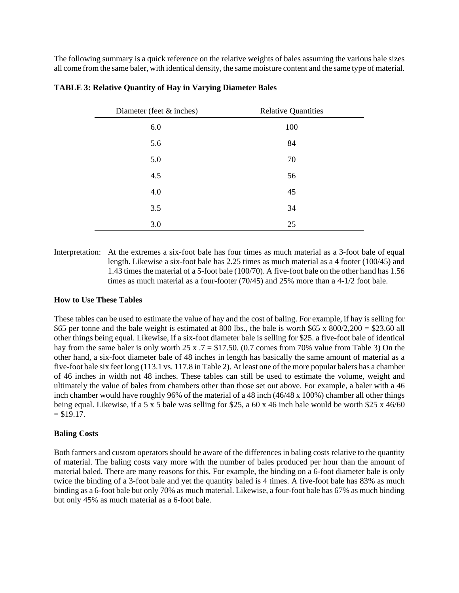The following summary is a quick reference on the relative weights of bales assuming the various bale sizes all come from the same baler, with identical density, the same moisture content and the same type of material.

| Diameter (feet $&$ inches) | <b>Relative Quantities</b> |  |
|----------------------------|----------------------------|--|
| 6.0                        | 100                        |  |
| 5.6                        | 84                         |  |
| 5.0                        | 70                         |  |
| 4.5                        | 56                         |  |
| 4.0                        | 45                         |  |
| 3.5                        | 34                         |  |
| 3.0                        | 25                         |  |

#### **TABLE 3: Relative Quantity of Hay in Varying Diameter Bales**

Interpretation: At the extremes a six-foot bale has four times as much material as a 3-foot bale of equal length. Likewise a six-foot bale has 2.25 times as much material as a 4 footer (100/45) and 1.43 times the material of a 5-foot bale (100/70). A five-foot bale on the other hand has 1.56 times as much material as a four-footer (70/45) and 25% more than a 4-1/2 foot bale.

#### **How to Use These Tables**

These tables can be used to estimate the value of hay and the cost of baling. For example, if hay is selling for \$65 per tonne and the bale weight is estimated at 800 lbs., the bale is worth \$65 x  $800/2,200 = $23.60$  all other things being equal. Likewise, if a six-foot diameter bale is selling for \$25. a five-foot bale of identical hay from the same baler is only worth 25 x  $.7 = $17.50$ . (0.7 comes from 70% value from Table 3) On the other hand, a six-foot diameter bale of 48 inches in length has basically the same amount of material as a five-foot bale six feet long (113.1 vs. 117.8 in Table 2). At least one of the more popular balers has a chamber of 46 inches in width not 48 inches. These tables can still be used to estimate the volume, weight and ultimately the value of bales from chambers other than those set out above. For example, a baler with a 46 inch chamber would have roughly 96% of the material of a 48 inch (46/48 x 100%) chamber all other things being equal. Likewise, if a 5 x 5 bale was selling for \$25, a 60 x 46 inch bale would be worth \$25 x 46/60  $= $19.17.$ 

#### **Baling Costs**

Both farmers and custom operators should be aware of the differences in baling costs relative to the quantity of material. The baling costs vary more with the number of bales produced per hour than the amount of material baled. There are many reasons for this. For example, the binding on a 6-foot diameter bale is only twice the binding of a 3-foot bale and yet the quantity baled is 4 times. A five-foot bale has 83% as much binding as a 6-foot bale but only 70% as much material. Likewise, a four-foot bale has 67% as much binding but only 45% as much material as a 6-foot bale.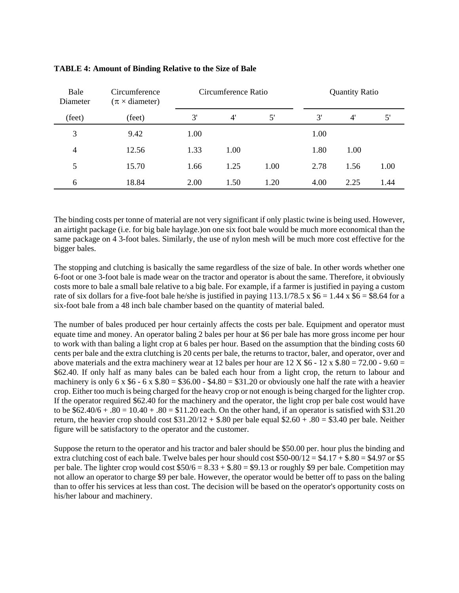| Bale<br>Diameter | Circumference<br>$(\pi \times$ diameter) | Circumference Ratio |      | <b>Quantity Ratio</b> |      |      |      |
|------------------|------------------------------------------|---------------------|------|-----------------------|------|------|------|
| (feet)           | (feet)                                   | 3'                  | 4'   | 5'                    | 3'   | 4'   | 5'   |
| 3                | 9.42                                     | 1.00                |      |                       | 1.00 |      |      |
| $\overline{4}$   | 12.56                                    | 1.33                | 1.00 |                       | 1.80 | 1.00 |      |
| 5                | 15.70                                    | 1.66                | 1.25 | 1.00                  | 2.78 | 1.56 | 1.00 |
| 6                | 18.84                                    | 2.00                | 1.50 | 1.20                  | 4.00 | 2.25 | 1.44 |

# **TABLE 4: Amount of Binding Relative to the Size of Bale**

The binding costs per tonne of material are not very significant if only plastic twine is being used. However, an airtight package (i.e. for big bale haylage.)on one six foot bale would be much more economical than the same package on 4 3-foot bales. Similarly, the use of nylon mesh will be much more cost effective for the bigger bales.

The stopping and clutching is basically the same regardless of the size of bale. In other words whether one 6-foot or one 3-foot bale is made wear on the tractor and operator is about the same. Therefore, it obviously costs more to bale a small bale relative to a big bale. For example, if a farmer is justified in paying a custom rate of six dollars for a five-foot bale he/she is justified in paying  $113.1/78.5 \times $6 = 1.44 \times $6 = $8.64$  for a six-foot bale from a 48 inch bale chamber based on the quantity of material baled.

The number of bales produced per hour certainly affects the costs per bale. Equipment and operator must equate time and money. An operator baling 2 bales per hour at \$6 per bale has more gross income per hour to work with than baling a light crop at 6 bales per hour. Based on the assumption that the binding costs 60 cents per bale and the extra clutching is 20 cents per bale, the returns to tractor, baler, and operator, over and above materials and the extra machinery wear at 12 bales per hour are  $12 \text{ X } $6 - 12 \text{ x } $.80 = 72.00 - 9.60 = 12 \text{ X } $6 - 12 \text{ X } $6 - 12 \text{ X } $6 - 12 \text{ X } $6 - 12 \text{ X } $6 - 12 \text{ X } $6 - 12 \text{ X } $6 - 12 \text{ X } $6 - 12 \text{ X } $6 - 12 \text{ X } $6 - 12 \$ \$62.40. If only half as many bales can be baled each hour from a light crop, the return to labour and machinery is only 6 x  $$6 - 6 x $.80 = $36.00 - $4.80 = $31.20$  or obviously one half the rate with a heavier crop. Either too much is being charged for the heavy crop or not enough is being charged for the lighter crop. If the operator required \$62.40 for the machinery and the operator, the light crop per bale cost would have to be  $$62.40/6 + .80 = 10.40 + .80 = $11.20$  each. On the other hand, if an operator is satisfied with \$31.20 return, the heavier crop should cost  $$31.20/12 + $.80$  per bale equal  $$2.60 + .80 = $3.40$  per bale. Neither figure will be satisfactory to the operator and the customer.

Suppose the return to the operator and his tractor and baler should be \$50.00 per. hour plus the binding and extra clutching cost of each bale. Twelve bales per hour should cost  $$50-00/12 = $4.17 + $.80 = $4.97$  or \$5 per bale. The lighter crop would cost  $$50/6 = 8.33 + $.80 = $9.13$  or roughly \$9 per bale. Competition may not allow an operator to charge \$9 per bale. However, the operator would be better off to pass on the baling than to offer his services at less than cost. The decision will be based on the operator's opportunity costs on his/her labour and machinery.